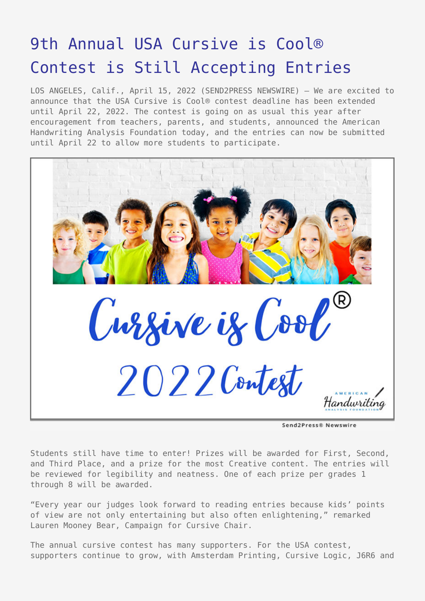## [9th Annual USA Cursive is Cool®](https://www.send2press.com/wire/9th-annual-usa-cursive-is-cool-contest-is-still-accepting-entries/) [Contest is Still Accepting Entries](https://www.send2press.com/wire/9th-annual-usa-cursive-is-cool-contest-is-still-accepting-entries/)

LOS ANGELES, Calif., April 15, 2022 (SEND2PRESS NEWSWIRE) — We are excited to announce that the USA Cursive is Cool® contest deadline has been extended until April 22, 2022. The contest is going on as usual this year after encouragement from teachers, parents, and students, announced the American Handwriting Analysis Foundation today, and the entries can now be submitted until April 22 to allow more students to participate.



Send2Press® Newswire

Students still have time to enter! Prizes will be awarded for First, Second, and Third Place, and a prize for the most Creative content. The entries will be reviewed for legibility and neatness. One of each prize per grades 1 through 8 will be awarded.

"Every year our judges look forward to reading entries because kids' points of view are not only entertaining but also often enlightening," remarked Lauren Mooney Bear, Campaign for Cursive Chair.

The annual cursive contest has many supporters. For the USA contest, supporters continue to grow, with Amsterdam Printing, Cursive Logic, J6R6 and